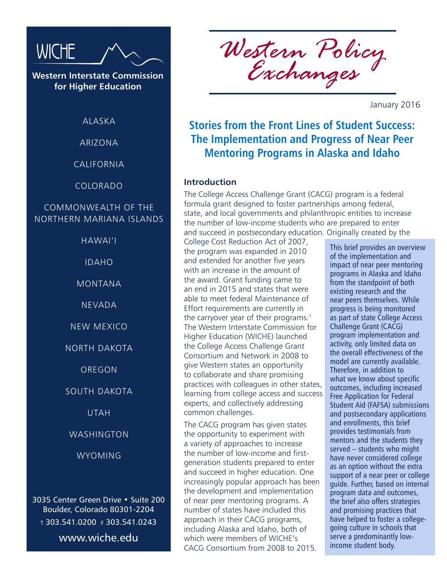

**Western Interstate Commission for Higher Education**

ALASKA

ARIZONA

CALIFORNIA

COLORADO

## COMMONWEALTH OF THE NORTHERN MARIANA ISLANDS

HAWAI'I

IDAHO

MONTANA

NEVADA

NEW MEXICO

NORTH DAKOTA

OREGON

### SOUTH DAKOTA

UTAH

#### WASHINGTON

**WYOMING** 

3035 Center Green Drive • Suite 200 Boulder, Colorado 80301-2204 <sup>t</sup> 303.541.0200 f 303.541.0243 www.wiche.edu

*Western Policy Exchanges*

January 2016

## **Stories from the Front Lines of Student Success: The Implementation and Progress of Near Peer Mentoring Programs in Alaska and Idaho**

### **Introduction**

The College Access Challenge Grant (CACG) program is a federal formula grant designed to foster partnerships among federal, state, and local governments and philanthropic entities to increase the number of low-income students who are prepared to enter and succeed in postsecondary education. Originally created by the

College Cost Reduction Act of 2007, the program was expanded in 2010 and extended for another five years with an increase in the amount of the award. Grant funding came to an end in 2015 and states that were able to meet federal Maintenance of Effort requirements are currently in the carryover year of their programs.<sup>1</sup> The Western Interstate Commission for Higher Education (WICHE) launched the College Access Challenge Grant Consortium and Network in 2008 to give Western states an opportunity to collaborate and share promising practices with colleagues in other states, learning from college access and success experts, and collectively addressing common challenges.

The CACG program has given states the opportunity to experiment with a variety of approaches to increase the number of low-income and firstgeneration students prepared to enter and succeed in higher education. One increasingly popular approach has been the development and implementation of near peer mentoring programs. A number of states have included this approach in their CACG programs, including Alaska and Idaho, both of which were members of WICHE's CACG Consortium from 2008 to 2015.

This brief provides an overview of the implementation and impact of near peer mentoring programs in Alaska and Idaho from the standpoint of both existing research and the near peers themselves. While progress is being monitored as part of state College Access Challenge Grant (CACG) program implementation and activity, only limited data on the overall effectiveness of the model are currently available. Therefore, in addition to what we know about specific outcomes, including increased Free Application for Federal Student Aid (FAFSA) submissions and postsecondary applications and enrollments, this brief provides testimonials from mentors and the students they served – students who might have never considered college as an option without the extra support of a near peer or college guide. Further, based on internal program data and outcomes, the brief also offers strategies and promising practices that have helped to foster a collegegoing culture in schools that serve a predominantly lowincome student body.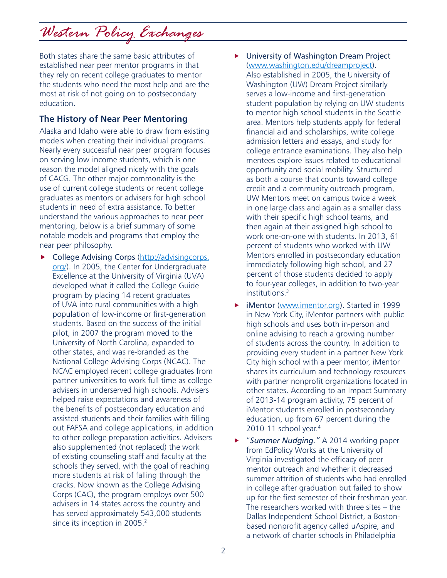Both states share the same basic attributes of established near peer mentor programs in that they rely on recent college graduates to mentor the students who need the most help and are the most at risk of not going on to postsecondary education.

## **The History of Near Peer Mentoring**

Alaska and Idaho were able to draw from existing models when creating their individual programs. Nearly every successful near peer program focuses on serving low-income students, which is one reason the model aligned nicely with the goals of CACG. The other major commonality is the use of current college students or recent college graduates as mentors or advisers for high school students in need of extra assistance. To better understand the various approaches to near peer mentoring, below is a brief summary of some notable models and programs that employ the near peer philosophy.

- $\triangleright$  College Advising Corps (http://advisingcorps. org/). In 2005, the Center for Undergraduate Excellence at the University of Virginia (UVA) developed what it called the College Guide program by placing 14 recent graduates of UVA into rural communities with a high population of low-income or first-generation students. Based on the success of the initial pilot, in 2007 the program moved to the University of North Carolina, expanded to other states, and was re-branded as the National College Advising Corps (NCAC). The NCAC employed recent college graduates from partner universities to work full time as college advisers in underserved high schools. Advisers helped raise expectations and awareness of the benefits of postsecondary education and assisted students and their families with filling out FAFSA and college applications, in addition to other college preparation activities. Advisers also supplemented (not replaced) the work of existing counseling staff and faculty at the schools they served, with the goal of reaching more students at risk of falling through the cracks. Now known as the College Advising Corps (CAC), the program employs over 500 advisers in 14 states across the country and has served approximately 543,000 students since its inception in 2005.<sup>2</sup>
- University of Washington Dream Project (www.washington.edu/dreamproject). Also established in 2005, the University of Washington (UW) Dream Project similarly serves a low-income and first-generation student population by relying on UW students to mentor high school students in the Seattle area. Mentors help students apply for federal financial aid and scholarships, write college admission letters and essays, and study for college entrance examinations. They also help mentees explore issues related to educational opportunity and social mobility. Structured as both a course that counts toward college credit and a community outreach program, UW Mentors meet on campus twice a week in one large class and again as a smaller class with their specific high school teams, and then again at their assigned high school to work one-on-one with students. In 2013, 61 percent of students who worked with UW Mentors enrolled in postsecondary education immediately following high school, and 27 percent of those students decided to apply to four-year colleges, in addition to two-year institutions.3
- **F** iMentor (www.imentor.org). Started in 1999 in New York City, iMentor partners with public high schools and uses both in-person and online advising to reach a growing number of students across the country. In addition to providing every student in a partner New York City high school with a peer mentor, iMentor shares its curriculum and technology resources with partner nonprofit organizations located in other states. According to an Impact Summary of 2013-14 program activity, 75 percent of iMentor students enrolled in postsecondary education, up from 67 percent during the 2010-11 school year.<sup>4</sup>
- ▶ "Summer Nudging." A 2014 working paper from EdPolicy Works at the University of Virginia investigated the efficacy of peer mentor outreach and whether it decreased summer attrition of students who had enrolled in college after graduation but failed to show up for the first semester of their freshman year. The researchers worked with three sites – the Dallas Independent School District, a Bostonbased nonprofit agency called uAspire, and a network of charter schools in Philadelphia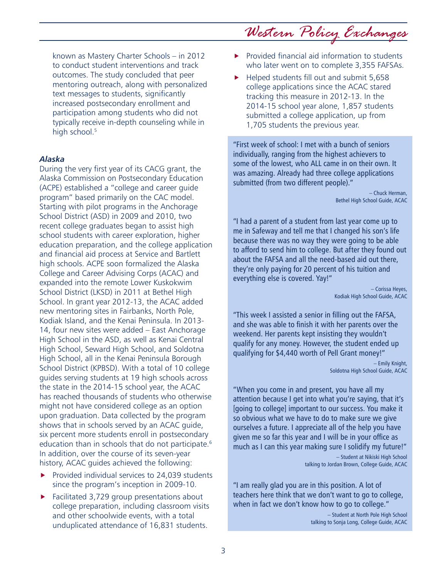known as Mastery Charter Schools – in 2012 to conduct student interventions and track outcomes. The study concluded that peer mentoring outreach, along with personalized text messages to students, significantly increased postsecondary enrollment and participation among students who did not typically receive in-depth counseling while in high school.<sup>5</sup>

#### *Alaska*

During the very first year of its CACG grant, the Alaska Commission on Postsecondary Education (ACPE) established a "college and career guide program" based primarily on the CAC model. Starting with pilot programs in the Anchorage School District (ASD) in 2009 and 2010, two recent college graduates began to assist high school students with career exploration, higher education preparation, and the college application and financial aid process at Service and Bartlett high schools. ACPE soon formalized the Alaska College and Career Advising Corps (ACAC) and expanded into the remote Lower Kuskokwim School District (LKSD) in 2011 at Bethel High School. In grant year 2012-13, the ACAC added new mentoring sites in Fairbanks, North Pole, Kodiak Island, and the Kenai Peninsula. In 2013- 14, four new sites were added – East Anchorage High School in the ASD, as well as Kenai Central High School, Seward High School, and Soldotna High School, all in the Kenai Peninsula Borough School District (KPBSD). With a total of 10 college guides serving students at 19 high schools across the state in the 2014-15 school year, the ACAC has reached thousands of students who otherwise might not have considered college as an option upon graduation. Data collected by the program shows that in schools served by an ACAC guide, six percent more students enroll in postsecondary education than in schools that do not participate.<sup>6</sup> In addition, over the course of its seven-year history, ACAC guides achieved the following:

- $\blacktriangleright$  Provided individual services to 24,039 students since the program's inception in 2009-10.
- $\blacktriangleright$  Facilitated 3,729 group presentations about college preparation, including classroom visits and other schoolwide events, with a total unduplicated attendance of 16,831 students.
- $\blacktriangleright$  Provided financial aid information to students who later went on to complete 3,355 FAFSAs.
- $\blacktriangleright$  Helped students fill out and submit 5,658 college applications since the ACAC stared tracking this measure in 2012-13. In the 2014-15 school year alone, 1,857 students submitted a college application, up from 1,705 students the previous year.

"First week of school: I met with a bunch of seniors individually, ranging from the highest achievers to some of the lowest, who ALL came in on their own. It was amazing. Already had three college applications submitted (from two different people)."

> – Chuck Herman, Bethel High School Guide, ACAC

"I had a parent of a student from last year come up to me in Safeway and tell me that I changed his son's life because there was no way they were going to be able to afford to send him to college. But after they found out about the FAFSA and all the need-based aid out there, they're only paying for 20 percent of his tuition and everything else is covered. Yay!"

> – Corissa Heyes, Kodiak High School Guide, ACAC

"This week I assisted a senior in filling out the FAFSA, and she was able to finish it with her parents over the weekend. Her parents kept insisting they wouldn't qualify for any money. However, the student ended up qualifying for \$4,440 worth of Pell Grant money!"

> – Emily Knight, Soldotna High School Guide, ACAC

"When you come in and present, you have all my attention because I get into what you're saying, that it's [going to college] important to our success. You make it so obvious what we have to do to make sure we give ourselves a future. I appreciate all of the help you have given me so far this year and I will be in your office as much as I can this year making sure I solidify my future!"

> – Student at Nikiski High School talking to Jordan Brown, College Guide, ACAC

"I am really glad you are in this position. A lot of teachers here think that we don't want to go to college, when in fact we don't know how to go to college."

> – Student at North Pole High School talking to Sonja Long, College Guide, ACAC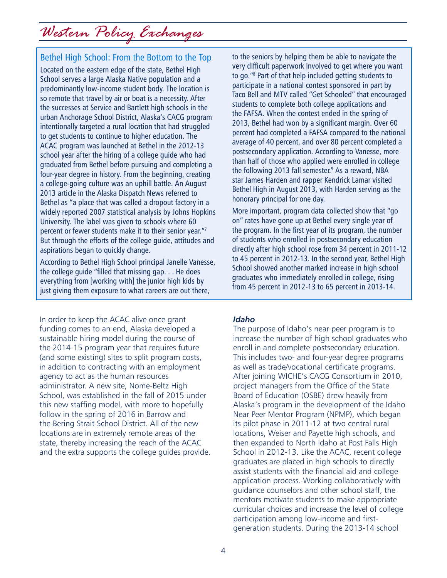## Bethel High School: From the Bottom to the Top

Located on the eastern edge of the state, Bethel High School serves a large Alaska Native population and a predominantly low-income student body. The location is so remote that travel by air or boat is a necessity. After the successes at Service and Bartlett high schools in the urban Anchorage School District, Alaska's CACG program intentionally targeted a rural location that had struggled to get students to continue to higher education. The ACAC program was launched at Bethel in the 2012-13 school year after the hiring of a college guide who had graduated from Bethel before pursuing and completing a four-year degree in history. From the beginning, creating a college-going culture was an uphill battle. An August 2013 article in the Alaska Dispatch News referred to Bethel as "a place that was called a dropout factory in a widely reported 2007 statistical analysis by Johns Hopkins University. The label was given to schools where 60 percent or fewer students make it to their senior year."7 But through the efforts of the college guide, attitudes and aspirations began to quickly change.

According to Bethel High School principal Janelle Vanesse, the college guide "filled that missing gap. . . He does everything from [working with] the junior high kids by just giving them exposure to what careers are out there,

In order to keep the ACAC alive once grant funding comes to an end, Alaska developed a sustainable hiring model during the course of the 2014-15 program year that requires future (and some existing) sites to split program costs, in addition to contracting with an employment agency to act as the human resources administrator. A new site, Nome-Beltz High School, was established in the fall of 2015 under this new staffing model, with more to hopefully follow in the spring of 2016 in Barrow and the Bering Strait School District. All of the new locations are in extremely remote areas of the state, thereby increasing the reach of the ACAC and the extra supports the college guides provide. to the seniors by helping them be able to navigate the very difficult paperwork involved to get where you want to go."8 Part of that help included getting students to participate in a national contest sponsored in part by Taco Bell and MTV called "Get Schooled" that encouraged students to complete both college applications and the FAFSA. When the contest ended in the spring of 2013, Bethel had won by a significant margin. Over 60 percent had completed a FAFSA compared to the national average of 40 percent, and over 80 percent completed a postsecondary application. According to Vanesse, more than half of those who applied were enrolled in college the following 2013 fall semester.<sup>9</sup> As a reward, NBA star James Harden and rapper Kendrick Lamar visited Bethel High in August 2013, with Harden serving as the honorary principal for one day.

More important, program data collected show that "go on" rates have gone up at Bethel every single year of the program. In the first year of its program, the number of students who enrolled in postsecondary education directly after high school rose from 34 percent in 2011-12 to 45 percent in 2012-13. In the second year, Bethel High School showed another marked increase in high school graduates who immediately enrolled in college, rising from 45 percent in 2012-13 to 65 percent in 2013-14.

#### *Idaho*

The purpose of Idaho's near peer program is to increase the number of high school graduates who enroll in and complete postsecondary education. This includes two- and four-year degree programs as well as trade/vocational certificate programs. After joining WICHE's CACG Consortium in 2010, project managers from the Office of the State Board of Education (OSBE) drew heavily from Alaska's program in the development of the Idaho Near Peer Mentor Program (NPMP), which began its pilot phase in 2011-12 at two central rural locations, Weiser and Payette high schools, and then expanded to North Idaho at Post Falls High School in 2012-13. Like the ACAC, recent college graduates are placed in high schools to directly assist students with the financial aid and college application process. Working collaboratively with guidance counselors and other school staff, the mentors motivate students to make appropriate curricular choices and increase the level of college participation among low-income and firstgeneration students. During the 2013-14 school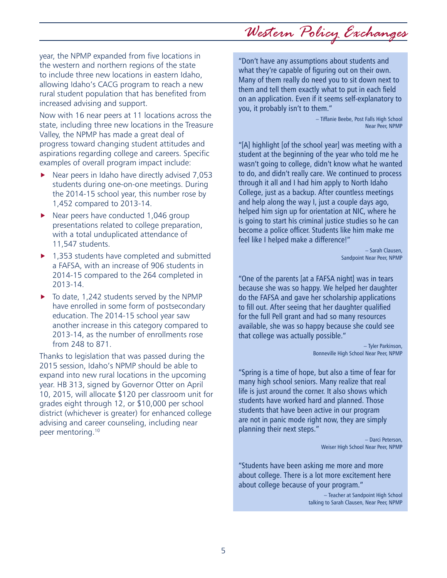5

the western and northern regions of the state to include three new locations in eastern Idaho, allowing Idaho's CACG program to reach a new rural student population that has benefited from increased advising and support.

year, the NPMP expanded from five locations in

Now with 16 near peers at 11 locations across the state, including three new locations in the Treasure Valley, the NPMP has made a great deal of progress toward changing student attitudes and aspirations regarding college and careers. Specific examples of overall program impact include:

- $\blacktriangleright$  Near peers in Idaho have directly advised 7,053 students during one-on-one meetings. During the 2014-15 school year, this number rose by 1,452 compared to 2013-14.
- $\blacktriangleright$  Near peers have conducted 1,046 group presentations related to college preparation, with a total unduplicated attendance of 11,547 students.
- $\blacktriangleright$  1,353 students have completed and submitted a FAFSA, with an increase of 906 students in 2014-15 compared to the 264 completed in 2013-14.
- $\triangleright$  To date, 1,242 students served by the NPMP have enrolled in some form of postsecondary education. The 2014-15 school year saw another increase in this category compared to 2013-14, as the number of enrollments rose from 248 to 871.

Thanks to legislation that was passed during the 2015 session, Idaho's NPMP should be able to expand into new rural locations in the upcoming year. HB 313, signed by Governor Otter on April 10, 2015, will allocate \$120 per classroom unit for grades eight through 12, or \$10,000 per school district (whichever is greater) for enhanced college advising and career counseling, including near peer mentoring.10

"Don't have any assumptions about students and what they're capable of figuring out on their own. Many of them really do need you to sit down next to them and tell them exactly what to put in each field on an application. Even if it seems self-explanatory to you, it probably isn't to them."

> – Tiffanie Beebe, Post Falls High School Near Peer, NPMP

"[A] highlight [of the school year] was meeting with a student at the beginning of the year who told me he wasn't going to college, didn't know what he wanted to do, and didn't really care. We continued to process through it all and I had him apply to North Idaho College, just as a backup. After countless meetings and help along the way I, just a couple days ago, helped him sign up for orientation at NIC, where he is going to start his criminal justice studies so he can become a police officer. Students like him make me feel like I helped make a difference!"

> – Sarah Clausen, Sandpoint Near Peer, NPMP

"One of the parents [at a FAFSA night] was in tears because she was so happy. We helped her daughter do the FAFSA and gave her scholarship applications to fill out. After seeing that her daughter qualified for the full Pell grant and had so many resources available, she was so happy because she could see that college was actually possible."

> – Tyler Parkinson, Bonneville High School Near Peer, NPMP

"Spring is a time of hope, but also a time of fear for many high school seniors. Many realize that real life is just around the corner. It also shows which students have worked hard and planned. Those students that have been active in our program are not in panic mode right now, they are simply planning their next steps."

> – Darci Peterson, Weiser High School Near Peer, NPMP

"Students have been asking me more and more about college. There is a lot more excitement here about college because of your program."

> – Teacher at Sandpoint High School talking to Sarah Clausen, Near Peer, NPMP

## *Western Policy Exchanges*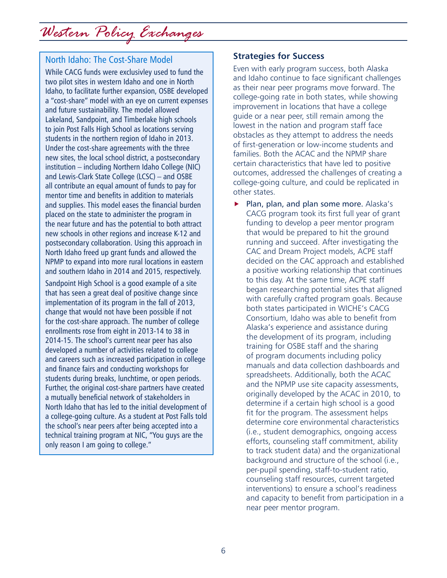## North Idaho: The Cost-Share Model

While CACG funds were exclusivley used to fund the two pilot sites in western Idaho and one in North Idaho, to facilitate further expansion, OSBE developed a "cost-share" model with an eye on current expenses and future sustainability. The model allowed Lakeland, Sandpoint, and Timberlake high schools to join Post Falls High School as locations serving students in the northern region of Idaho in 2013. Under the cost-share agreements with the three new sites, the local school district, a postsecondary institution – including Northern Idaho College (NIC) and Lewis-Clark State College (LCSC) – and OSBE all contribute an equal amount of funds to pay for mentor time and benefits in addition to materials and supplies. This model eases the financial burden placed on the state to administer the program in the near future and has the potential to both attract new schools in other regions and increase K-12 and postsecondary collaboration. Using this approach in North Idaho freed up grant funds and allowed the NPMP to expand into more rural locations in eastern and southern Idaho in 2014 and 2015, respectively.

Sandpoint High School is a good example of a site that has seen a great deal of positive change since implementation of its program in the fall of 2013, change that would not have been possible if not for the cost-share approach. The number of college enrollments rose from eight in 2013-14 to 38 in 2014-15. The school's current near peer has also developed a number of activities related to college and careers such as increased participation in college and finance fairs and conducting workshops for students during breaks, lunchtime, or open periods. Further, the original cost-share partners have created a mutually beneficial network of stakeholders in North Idaho that has led to the initial development of a college-going culture. As a student at Post Falls told the school's near peers after being accepted into a technical training program at NIC, "You guys are the only reason I am going to college."

### **Strategies for Success**

Even with early program success, both Alaska and Idaho continue to face significant challenges as their near peer programs move forward. The college-going rate in both states, while showing improvement in locations that have a college guide or a near peer, still remain among the lowest in the nation and program staff face obstacles as they attempt to address the needs of first-generation or low-income students and families. Both the ACAC and the NPMP share certain characteristics that have led to positive outcomes, addressed the challenges of creating a college-going culture, and could be replicated in other states.

 $\blacktriangleright$  Plan, plan, and plan some more. Alaska's CACG program took its first full year of grant funding to develop a peer mentor program that would be prepared to hit the ground running and succeed. After investigating the CAC and Dream Project models, ACPE staff decided on the CAC approach and established a positive working relationship that continues to this day. At the same time, ACPE staff began researching potential sites that aligned with carefully crafted program goals. Because both states participated in WICHE's CACG Consortium, Idaho was able to benefit from Alaska's experience and assistance during the development of its program, including training for OSBE staff and the sharing of program documents including policy manuals and data collection dashboards and spreadsheets. Additionally, both the ACAC and the NPMP use site capacity assessments, originally developed by the ACAC in 2010, to determine if a certain high school is a good fit for the program. The assessment helps determine core environmental characteristics (i.e., student demographics, ongoing access efforts, counseling staff commitment, ability to track student data) and the organizational background and structure of the school (i.e., per-pupil spending, staff-to-student ratio, counseling staff resources, current targeted interventions) to ensure a school's readiness and capacity to benefit from participation in a near peer mentor program.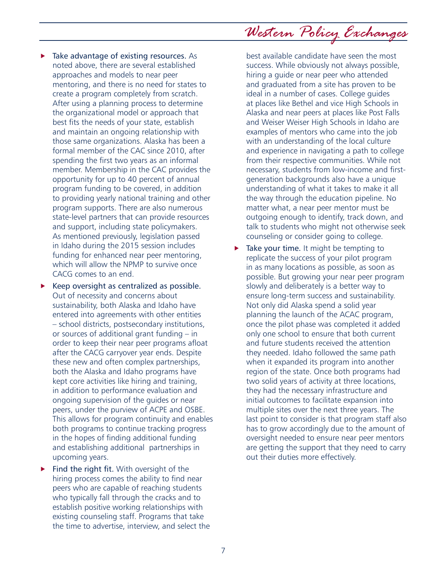*Western Policy Exchanges*

- Take advantage of existing resources. As noted above, there are several established approaches and models to near peer mentoring, and there is no need for states to create a program completely from scratch. After using a planning process to determine the organizational model or approach that best fits the needs of your state, establish and maintain an ongoing relationship with those same organizations. Alaska has been a formal member of the CAC since 2010, after spending the first two years as an informal member. Membership in the CAC provides the opportunity for up to 40 percent of annual program funding to be covered, in addition to providing yearly national training and other program supports. There are also numerous state-level partners that can provide resources and support, including state policymakers. As mentioned previously, legislation passed in Idaho during the 2015 session includes funding for enhanced near peer mentoring, which will allow the NPMP to survive once CACG comes to an end.
- Keep oversight as centralized as possible. Out of necessity and concerns about sustainability, both Alaska and Idaho have entered into agreements with other entities – school districts, postsecondary institutions, or sources of additional grant funding – in order to keep their near peer programs afloat after the CACG carryover year ends. Despite these new and often complex partnerships, both the Alaska and Idaho programs have kept core activities like hiring and training, in addition to performance evaluation and ongoing supervision of the guides or near peers, under the purview of ACPE and OSBE. This allows for program continuity and enables both programs to continue tracking progress in the hopes of finding additional funding and establishing additional partnerships in upcoming years.
- Find the right fit. With oversight of the hiring process comes the ability to find near peers who are capable of reaching students who typically fall through the cracks and to establish positive working relationships with existing counseling staff. Programs that take the time to advertise, interview, and select the

best available candidate have seen the most success. While obviously not always possible, hiring a guide or near peer who attended and graduated from a site has proven to be ideal in a number of cases. College guides at places like Bethel and vice High Schools in Alaska and near peers at places like Post Falls and Weiser Weiser High Schools in Idaho are examples of mentors who came into the job with an understanding of the local culture and experience in navigating a path to college from their respective communities. While not necessary, students from low-income and firstgeneration backgrounds also have a unique understanding of what it takes to make it all the way through the education pipeline. No matter what, a near peer mentor must be outgoing enough to identify, track down, and talk to students who might not otherwise seek counseling or consider going to college.

Take your time. It might be tempting to replicate the success of your pilot program in as many locations as possible, as soon as possible. But growing your near peer program slowly and deliberately is a better way to ensure long-term success and sustainability. Not only did Alaska spend a solid year planning the launch of the ACAC program, once the pilot phase was completed it added only one school to ensure that both current and future students received the attention they needed. Idaho followed the same path when it expanded its program into another region of the state. Once both programs had two solid years of activity at three locations, they had the necessary infrastructure and initial outcomes to facilitate expansion into multiple sites over the next three years. The last point to consider is that program staff also has to grow accordingly due to the amount of oversight needed to ensure near peer mentors are getting the support that they need to carry out their duties more effectively.